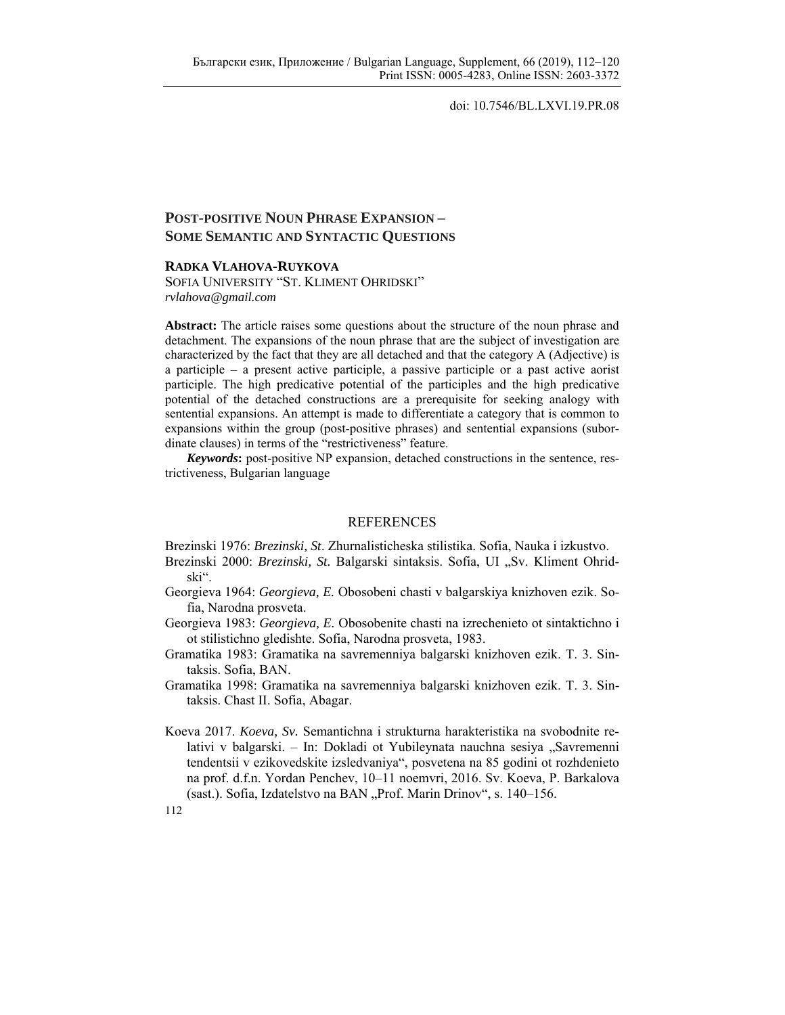doi: 10.7546/BL.LXVI.19.PR.08

## **POST-POSITIVE NOUN PHRASE EXPANSION – SOME SEMANTIC AND SYNTACTIC QUESTIONS**

## **RADKA VLAHOVA-RUYKOVA**

SOFIA UNIVERSITY "ST. KLIMENT OHRIDSKI" *rvlahova@gmail.com* 

**Abstract:** The article raises some questions about the structure of the noun phrase and detachment. The expansions of the noun phrase that are the subject of investigation are characterized by the fact that they are all detached and that the category A (Adjective) is a participle – a present active participle, a passive participle or a past active aorist participle. The high predicative potential of the participles and the high predicative potential of the detached constructions are a prerequisite for seeking analogy with sentential expansions. An attempt is made to differentiate a category that is common to expansions within the group (post-positive phrases) and sentential expansions (subordinate clauses) in terms of the "restrictiveness" feature.

*Keywords***:** post-positive NP expansion, detached constructions in the sentence, restrictiveness, Bulgarian language

## REFERENCES

Brezinski 1976: *Brezinski, St*. Zhurnalisticheska stilistika. Sofia, Nauka i izkustvo.

- Brezinski 2000: *Brezinski, St.* Balgarski sintaksis. Sofia, UI "Sv. Kliment Ohridski".
- Georgieva 1964: *Georgieva, E.* Obosobeni chasti v balgarskiya knizhoven ezik. Sofia, Narodna prosveta.
- Georgieva 1983: *Georgieva, E.* Obosobenite chasti na izrechenieto ot sintaktichno i ot stilistichno gledishte. Sofia, Narodna prosveta, 1983.
- Gramatika 1983: Gramatika na savremenniya balgarski knizhoven ezik. T. 3. Sintaksis. Sofia, BAN.
- Gramatika 1998: Gramatika na savremenniya balgarski knizhoven ezik. T. 3. Sintaksis. Chast ІІ. Sofia, Abagar.
- Koeva 2017. *Koeva, Sv.* Semantichna i strukturna harakteristika na svobodnite relativi v balgarski. – In: Dokladi ot Yubileynata nauchna sesiya "Savremenni tendentsii v ezikovedskite izsledvaniya", posvetena na 85 godini ot rozhdenieto na prof. d.f.n. Yordan Penchev, 10–11 noemvri, 2016. Sv. Koeva, P. Barkalova (sast.). Sofia, Izdatelstvo na BAN "Prof. Marin Drinov", s. 140–156.

112